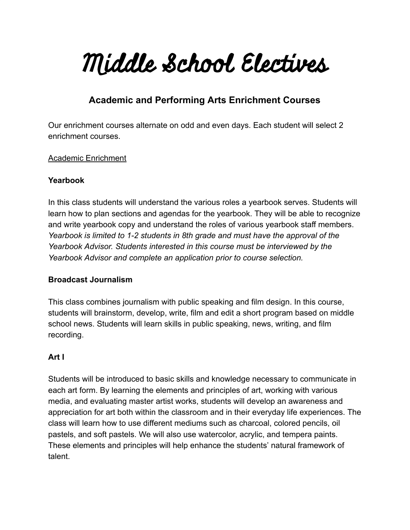# Middle School Electives

# **Academic and Performing Arts Enrichment Courses**

Our enrichment courses alternate on odd and even days. Each student will select 2 enrichment courses.

#### Academic Enrichment

#### **Yearbook**

In this class students will understand the various roles a yearbook serves. Students will learn how to plan sections and agendas for the yearbook. They will be able to recognize and write yearbook copy and understand the roles of various yearbook staff members. *Yearbook is limited to 1-2 students in 8th grade and must have the approval of the Yearbook Advisor. Students interested in this course must be interviewed by the Yearbook Advisor and complete an application prior to course selection.* 

# **Broadcast Journalism**

This class combines journalism with public speaking and film design. In this course, students will brainstorm, develop, write, film and edit a short program based on middle school news. Students will learn skills in public speaking, news, writing, and film recording.

# **Art I**

Students will be introduced to basic skills and knowledge necessary to communicate in each art form. By learning the elements and principles of art, working with various media, and evaluating master artist works, students will develop an awareness and appreciation for art both within the classroom and in their everyday life experiences. The class will learn how to use different mediums such as charcoal, colored pencils, oil pastels, and soft pastels. We will also use watercolor, acrylic, and tempera paints. These elements and principles will help enhance the students' natural framework of talent.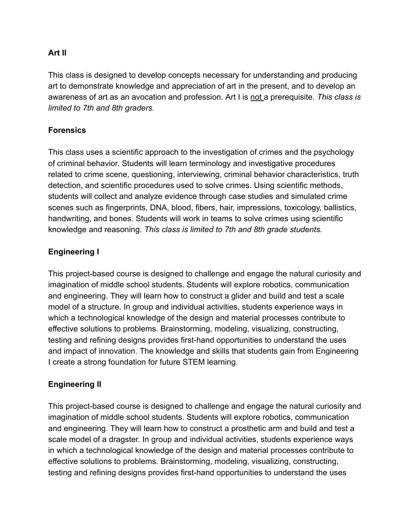#### **Art II**

This class is designed to develop concepts necessary for understanding and producing art to demonstrate knowledge and appreciation of art in the present, and to develop an awareness of art as an avocation and profession. Art I is not a prerequisite. *This class is limited to 7th and 8th graders.* 

#### **Forensics**

This class uses a scientific approach to the investigation of crimes and the psychology of criminal behavior. Students will learn terminology and investigative procedures related to crime scene, questioning, interviewing, criminal behavior characteristics, truth detection, and scientific procedures used to solve crimes. Using scientific methods, students will collect and analyze evidence through case studies and simulated crime scenes such as fingerprints, DNA, blood, fibers, hair, impressions, toxicology, ballistics, handwriting, and bones. Students will work in teams to solve crimes using scientific knowledge and reasoning. *This class is limited to 7th and 8th grade students.* 

#### **Engineering I**

This project-based course is designed to challenge and engage the natural curiosity and imagination of middle school students. Students will explore robotics, communication and engineering. They will learn how to construct a glider and build and test a scale model of a structure. In group and individual activities, students experience ways in which a technological knowledge of the design and material processes contribute to effective solutions to problems. Brainstorming, modeling, visualizing, constructing, testing and refining designs provides first-hand opportunities to understand the uses and impact of innovation. The knowledge and skills that students gain from Engineering I create a strong foundation for future STEM learning.

# **Engineering II**

This project-based course is designed to challenge and engage the natural curiosity and imagination of middle school students. Students will explore robotics, communication and engineering. They will learn how to construct a prosthetic arm and build and test a scale model of a dragster. In group and individual activities, students experience ways in which a technological knowledge of the design and material processes contribute to effective solutions to problems. Brainstorming, modeling, visualizing, constructing, testing and refining designs provides first-hand opportunities to understand the uses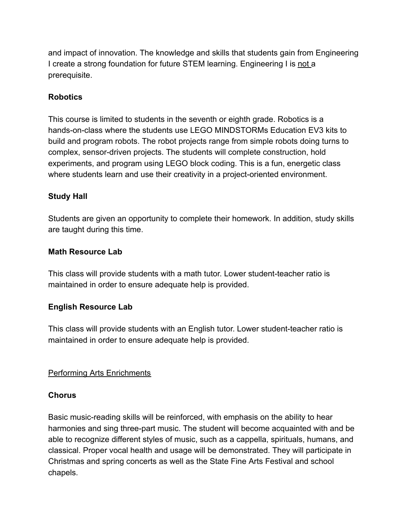and impact of innovation. The knowledge and skills that students gain from Engineering I create a strong foundation for future STEM learning. Engineering I is not a prerequisite.

#### **Robotics**

This course is limited to students in the seventh or eighth grade. Robotics is a hands-on-class where the students use LEGO MINDSTORMs Education EV3 kits to build and program robots. The robot projects range from simple robots doing turns to complex, sensor-driven projects. The students will complete construction, hold experiments, and program using LEGO block coding. This is a fun, energetic class where students learn and use their creativity in a project-oriented environment.

#### **Study Hall**

Students are given an opportunity to complete their homework. In addition, study skills are taught during this time.

#### **Math Resource Lab**

This class will provide students with a math tutor. Lower student-teacher ratio is maintained in order to ensure adequate help is provided.

#### **English Resource Lab**

This class will provide students with an English tutor. Lower student-teacher ratio is maintained in order to ensure adequate help is provided.

#### Performing Arts Enrichments

#### **Chorus**

Basic music-reading skills will be reinforced, with emphasis on the ability to hear harmonies and sing three-part music. The student will become acquainted with and be able to recognize different styles of music, such as a cappella, spirituals, humans, and classical. Proper vocal health and usage will be demonstrated. They will participate in Christmas and spring concerts as well as the State Fine Arts Festival and school chapels.